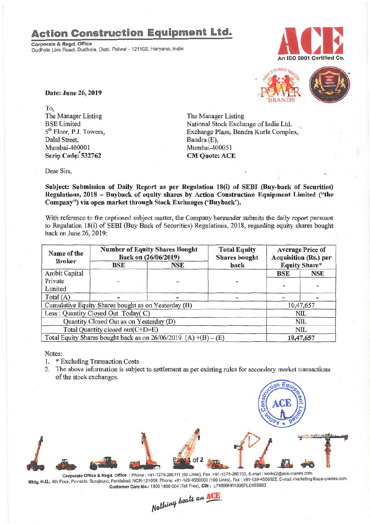## **Action Construction Equipment Ltd.**

Corporate & Regd. Office Dudhola Link Road, Dudhola, Distt. Palwal - 121102, Haryana. India





To, The Manager Listing BSELimited 5<sup>th</sup> Floor, P.J. Towers, Dalal Street, Mumbai-400001 Scrip Code: 532762

The Manager Listing National Stock Exchange of India Ltd. " Exchange Plaza, Bandra Kurla Complex, Bandra(E), Mumbai-400051 CM Quote: ACE

Dear Sirs,

Subject: Submission of Daily Report as per Regulation 18(i) of SEBI (Buy-back of Securities) Regulations, 2018 - Buyback of equity shares by Action Construction Equipment Limited ("the Company") via open market through Stock Exchanges ('Buyback').

With reference to the captioned subject matter, the Company hereunder submits the daily report pursuant to Regulation 18(i) of SEBI (Buy Back of Securities) Regulations, 2018, regarding equity shares bought back on June 26, 2019:

| Name of the                                                       | <b>Number of Equity Shares Bought</b><br>Back on (26/06/2019) |            | <b>Total Equity</b><br><b>Shares</b> bought | <b>Average Price of</b><br><b>Acquisition (Rs.) per</b> |            |
|-------------------------------------------------------------------|---------------------------------------------------------------|------------|---------------------------------------------|---------------------------------------------------------|------------|
| <b>Broker</b>                                                     | BSE                                                           | <b>NSE</b> | back                                        | <b>Equity Share*</b>                                    |            |
| <b>Ambit Capital</b>                                              |                                                               |            |                                             | BSE                                                     | <b>NSE</b> |
| Private                                                           |                                                               |            |                                             |                                                         |            |
| Limited                                                           |                                                               |            |                                             |                                                         |            |
| Total $(A)$                                                       |                                                               |            |                                             |                                                         |            |
| Cumulative Equity Shares bought as on Yesterday (B)               |                                                               |            |                                             | 10,47,657                                               |            |
| Less: Quantity Closed Out Today(C)                                |                                                               |            |                                             | <b>NIL</b>                                              |            |
| Quantity Closed Out as on Yesterday (D)                           |                                                               |            |                                             | <b>NIL</b>                                              |            |
| Total Quantity closed out(C+D=E)                                  |                                                               |            |                                             | <b>NIL</b>                                              |            |
| Total Equity Shares bought back as on $26/06/2019$ (A) +(B) – (E) |                                                               |            |                                             | 10,47,657                                               |            |

Notes:

- 1. \* Excluding Transaction Costs
- 2. The above information is subject to settlement as per existing rules for secondary market transactions of the stock exchanges.



Mktg. H.Q.: 4th Floor, Pinnacle, Surajkund, Faridabad, NCR-121009, Phone: +91-129-4550000 (100 Lines), Fax: +91-129-4550022, E-mail: marketing@ace-cranes.com Customer Care No.: 1800 1800 004 (Toll Free), CIN: L74899HR1995PLC053860 Nothing beats an **ACE**